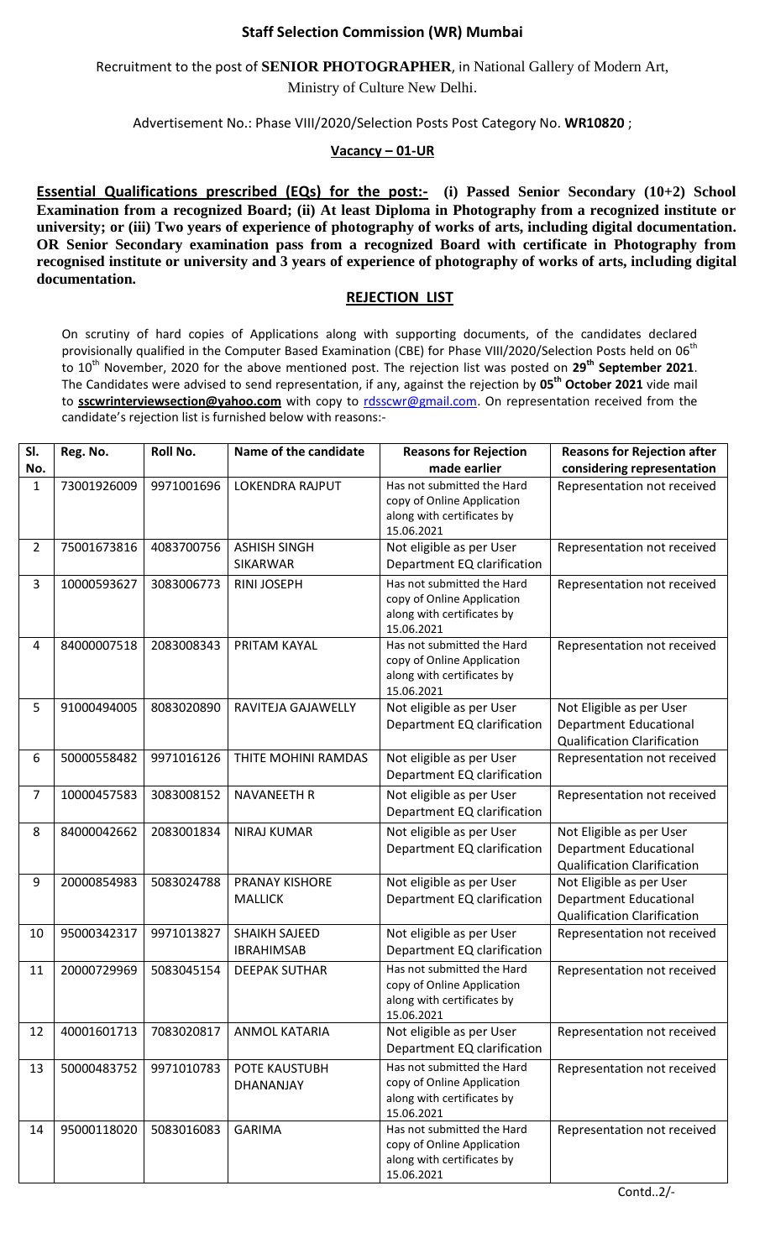## **Staff Selection Commission (WR) Mumbai**

Recruitment to the post of **SENIOR PHOTOGRAPHER**, in National Gallery of Modern Art,

Ministry of Culture New Delhi.

Advertisement No.: Phase VIII/2020/Selection Posts Post Category No. **WR10820** ;

## **Vacancy – 01-UR**

**Essential Qualifications prescribed (EQs) for the post:- (i) Passed Senior Secondary (10+2) School Examination from a recognized Board; (ii) At least Diploma in Photography from a recognized institute or university; or (iii) Two years of experience of photography of works of arts, including digital documentation. OR Senior Secondary examination pass from a recognized Board with certificate in Photography from recognised institute or university and 3 years of experience of photography of works of arts, including digital documentation.**

## **REJECTION LIST**

On scrutiny of hard copies of Applications along with supporting documents, of the candidates declared provisionally qualified in the Computer Based Examination (CBE) for Phase VIII/2020/Selection Posts held on 06<sup>th</sup> to 10th November, 2020 for the above mentioned post. The rejection list was posted on **29 th September 2021**. The Candidates were advised to send representation, if any, against the rejection by **05th October 2021** vide mail to **sscwrinterviewsection@yahoo.com** with copy to [rdsscwr@gmail.com.](mailto:rdsscwr@gmail.com) On representation received from the candidate's rejection list is furnished below with reasons:-

| SI.      | Reg. No.    | Roll No.   | Name of the candidate                     | <b>Reasons for Rejection</b>                                                                                         | <b>Reasons for Rejection after</b>                                                              |
|----------|-------------|------------|-------------------------------------------|----------------------------------------------------------------------------------------------------------------------|-------------------------------------------------------------------------------------------------|
| No.<br>1 | 73001926009 | 9971001696 | <b>LOKENDRA RAJPUT</b>                    | made earlier<br>Has not submitted the Hard<br>copy of Online Application<br>along with certificates by<br>15.06.2021 | considering representation<br>Representation not received                                       |
| 2        | 75001673816 | 4083700756 | <b>ASHISH SINGH</b><br><b>SIKARWAR</b>    | Not eligible as per User<br>Department EQ clarification                                                              | Representation not received                                                                     |
| 3        | 10000593627 | 3083006773 | <b>RINI JOSEPH</b>                        | Has not submitted the Hard<br>copy of Online Application<br>along with certificates by<br>15.06.2021                 | Representation not received                                                                     |
| 4        | 84000007518 | 2083008343 | PRITAM KAYAL                              | Has not submitted the Hard<br>copy of Online Application<br>along with certificates by<br>15.06.2021                 | Representation not received                                                                     |
| 5        | 91000494005 | 8083020890 | RAVITEJA GAJAWELLY                        | Not eligible as per User<br>Department EQ clarification                                                              | Not Eligible as per User<br><b>Department Educational</b><br><b>Qualification Clarification</b> |
| 6        | 50000558482 | 9971016126 | THITE MOHINI RAMDAS                       | Not eligible as per User<br>Department EQ clarification                                                              | Representation not received                                                                     |
| 7        | 10000457583 | 3083008152 | <b>NAVANEETH R</b>                        | Not eligible as per User<br>Department EQ clarification                                                              | Representation not received                                                                     |
| 8        | 84000042662 | 2083001834 | <b>NIRAJ KUMAR</b>                        | Not eligible as per User<br>Department EQ clarification                                                              | Not Eligible as per User<br><b>Department Educational</b><br><b>Qualification Clarification</b> |
| 9        | 20000854983 | 5083024788 | PRANAY KISHORE<br><b>MALLICK</b>          | Not eligible as per User<br>Department EQ clarification                                                              | Not Eligible as per User<br><b>Department Educational</b><br><b>Qualification Clarification</b> |
| 10       | 95000342317 | 9971013827 | <b>SHAIKH SAJEED</b><br><b>IBRAHIMSAB</b> | Not eligible as per User<br>Department EQ clarification                                                              | Representation not received                                                                     |
| 11       | 20000729969 | 5083045154 | <b>DEEPAK SUTHAR</b>                      | Has not submitted the Hard<br>copy of Online Application<br>along with certificates by<br>15.06.2021                 | Representation not received                                                                     |
| 12       | 40001601713 | 7083020817 | <b>ANMOL KATARIA</b>                      | Not eligible as per User<br>Department EQ clarification                                                              | Representation not received                                                                     |
| 13       | 50000483752 | 9971010783 | POTE KAUSTUBH<br>DHANANJAY                | Has not submitted the Hard<br>copy of Online Application<br>along with certificates by<br>15.06.2021                 | Representation not received                                                                     |
| 14       | 95000118020 | 5083016083 | <b>GARIMA</b>                             | Has not submitted the Hard<br>copy of Online Application<br>along with certificates by<br>15.06.2021                 | Representation not received                                                                     |